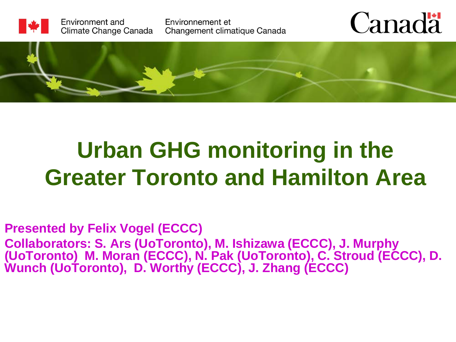

Environment and Climate Change Canada Environnement et Changement climatique Canada





## **Urban GHG monitoring in the Greater Toronto and Hamilton Area**

**Presented by Felix Vogel (ECCC) Collaborators: S. Ars (UoToronto), M. Ishizawa (ECCC), J. Murphy (UoToronto) M. Moran (ECCC), N. Pak (UoToronto), C. Stroud (ECCC), D. Wunch (UoToronto), D. Worthy (ECCC), J. Zhang (ECCC)**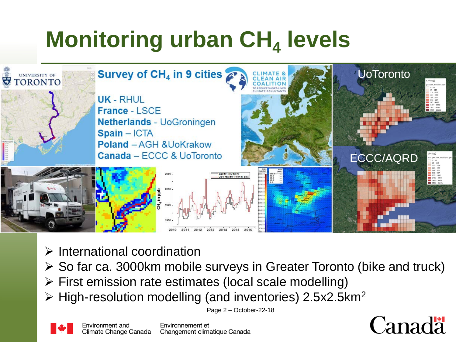## **Monitoring urban CH<sub>4</sub> levels**



- $\triangleright$  International coordination
- $\triangleright$  So far ca. 3000km mobile surveys in Greater Toronto (bike and truck)
- $\triangleright$  First emission rate estimates (local scale modelling)
- $\triangleright$  High-resolution modelling (and inventories) 2.5x2.5km<sup>2</sup>

Page 2 – October-22-18





Environnement et Changement climatique Canada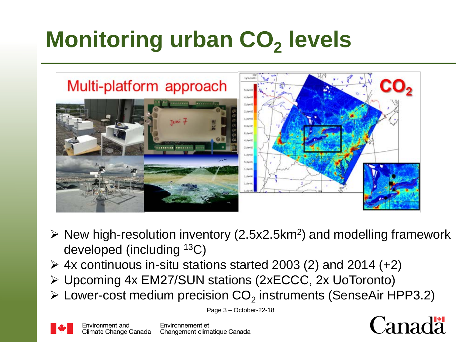## **Monitoring urban CO<sub>2</sub> levels**



- $\triangleright$  New high-resolution inventory (2.5x2.5km<sup>2</sup>) and modelling framework developed (including 13C)
- $\geq$  4x continuous in-situ stations started 2003 (2) and 2014 (+2)
- Upcoming 4x EM27/SUN stations (2xECCC, 2x UoToronto)
- $\triangleright$  Lower-cost medium precision CO<sub>2</sub> instruments (SenseAir HPP3.2)



Page 3 – October-22-18



Environnement et Changement climatique Canada